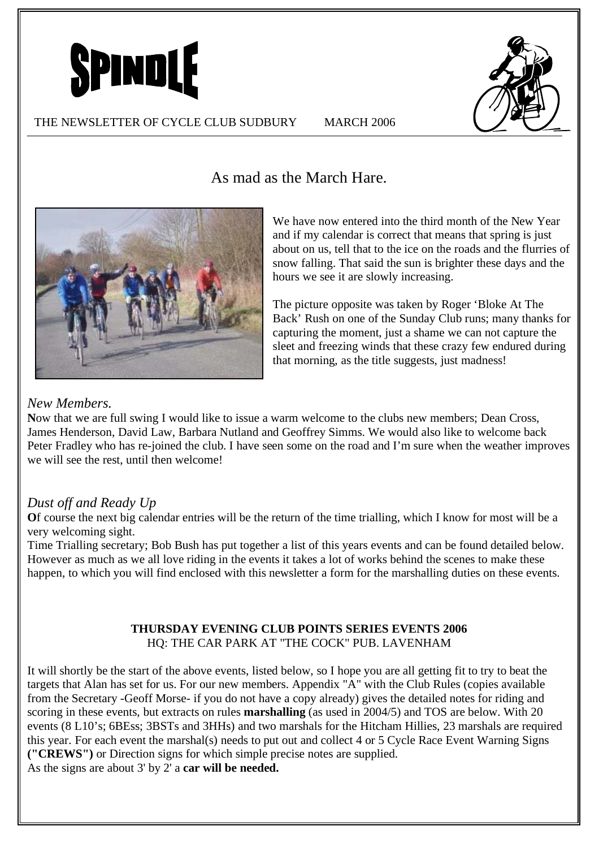



# As mad as the March Hare.



We have now entered into the third month of the New Year and if my calendar is correct that means that spring is just about on us, tell that to the ice on the roads and the flurries of snow falling. That said the sun is brighter these days and the hours we see it are slowly increasing.

The picture opposite was taken by Roger 'Bloke At The Back' Rush on one of the Sunday Club runs; many thanks for capturing the moment, just a shame we can not capture the sleet and freezing winds that these crazy few endured during that morning, as the title suggests, just madness!

#### *New Members.*

**N**ow that we are full swing I would like to issue a warm welcome to the clubs new members; Dean Cross, James Henderson, David Law, Barbara Nutland and Geoffrey Simms. We would also like to welcome back Peter Fradley who has re-joined the club. I have seen some on the road and I'm sure when the weather improves we will see the rest, until then welcome!

### *Dust off and Ready Up*

**O**f course the next big calendar entries will be the return of the time trialling, which I know for most will be a very welcoming sight.

Time Trialling secretary; Bob Bush has put together a list of this years events and can be found detailed below. However as much as we all love riding in the events it takes a lot of works behind the scenes to make these happen, to which you will find enclosed with this newsletter a form for the marshalling duties on these events.

#### **THURSDAY EVENING CLUB POINTS SERIES EVENTS 2006**  HQ: THE CAR PARK AT "THE COCK" PUB. LAVENHAM

It will shortly be the start of the above events, listed below, so I hope you are all getting fit to try to beat the targets that Alan has set for us. For our new members. Appendix "A" with the Club Rules (copies available from the Secretary -Geoff Morse- if you do not have a copy already) gives the detailed notes for riding and scoring in these events, but extracts on rules **marshalling** (as used in 2004/5) and TOS are below. With 20 events (8 L10's; 6BEss; 3BSTs and 3HHs) and two marshals for the Hitcham Hillies, 23 marshals are required this year. For each event the marshal(s) needs to put out and collect 4 or 5 Cycle Race Event Warning Signs **("CREWS")** or Direction signs for which simple precise notes are supplied. As the signs are about 3' by 2' a **car will be needed.**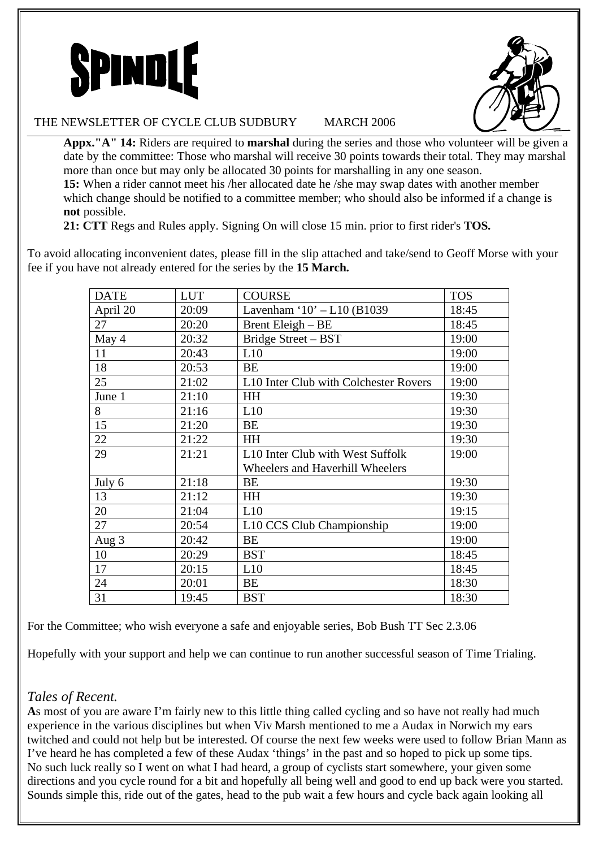



#### THE NEWSLETTER OF CYCLE CLUB SUDBURY MARCH 2006

**Appx."A" 14:** Riders are required to **marshal** during the series and those who volunteer will be given a date by the committee: Those who marshal will receive 30 points towards their total. They may marshal more than once but may only be allocated 30 points for marshalling in any one season. **15:** When a rider cannot meet his /her allocated date he /she may swap dates with another member which change should be notified to a committee member; who should also be informed if a change is **not** possible.

**21: CTT** Regs and Rules apply. Signing On will close 15 min. prior to first rider's **TOS.** 

fee if you have not already entered for the series by the **15 March.**  DATE | LUT | COURSE | TOS

To avoid allocating inconvenient dates, please fill in the slip attached and take/send to Geoff Morse with your

| DAIE     | LUT   | <b>COURSE</b>                                | 1 U.S |
|----------|-------|----------------------------------------------|-------|
| April 20 | 20:09 | Lavenham '10' - L10 (B1039                   | 18:45 |
| 27       | 20:20 | Brent Eleigh - BE                            | 18:45 |
| May 4    | 20:32 | Bridge Street - BST                          | 19:00 |
| 11       | 20:43 | L10                                          | 19:00 |
| 18       | 20:53 | BE                                           | 19:00 |
| 25       | 21:02 | L10 Inter Club with Colchester Rovers        | 19:00 |
| June 1   | 21:10 | <b>HH</b>                                    | 19:30 |
| 8        | 21:16 | L10                                          | 19:30 |
| 15       | 21:20 | BE                                           | 19:30 |
| 22       | 21:22 | <b>HH</b>                                    | 19:30 |
| 29       | 21:21 | L <sub>10</sub> Inter Club with West Suffolk | 19:00 |
|          |       | Wheelers and Haverhill Wheelers              |       |
| July 6   | 21:18 | BE                                           | 19:30 |
| 13       | 21:12 | <b>HH</b>                                    | 19:30 |
| 20       | 21:04 | L10                                          | 19:15 |
| 27       | 20:54 | L10 CCS Club Championship                    | 19:00 |
| Aug 3    | 20:42 | <b>BE</b>                                    | 19:00 |
| 10       | 20:29 | <b>BST</b>                                   | 18:45 |
| 17       | 20:15 | L10                                          | 18:45 |
| 24       | 20:01 | BE                                           | 18:30 |
| 31       | 19:45 | <b>BST</b>                                   | 18:30 |

For the Committee; who wish everyone a safe and enjoyable series, Bob Bush TT Sec 2.3.06

Hopefully with your support and help we can continue to run another successful season of Time Trialing.

# *Tales of Recent.*

**A**s most of you are aware I'm fairly new to this little thing called cycling and so have not really had much experience in the various disciplines but when Viv Marsh mentioned to me a Audax in Norwich my ears twitched and could not help but be interested. Of course the next few weeks were used to follow Brian Mann as I've heard he has completed a few of these Audax 'things' in the past and so hoped to pick up some tips. No such luck really so I went on what I had heard, a group of cyclists start somewhere, your given some directions and you cycle round for a bit and hopefully all being well and good to end up back were you started. Sounds simple this, ride out of the gates, head to the pub wait a few hours and cycle back again looking all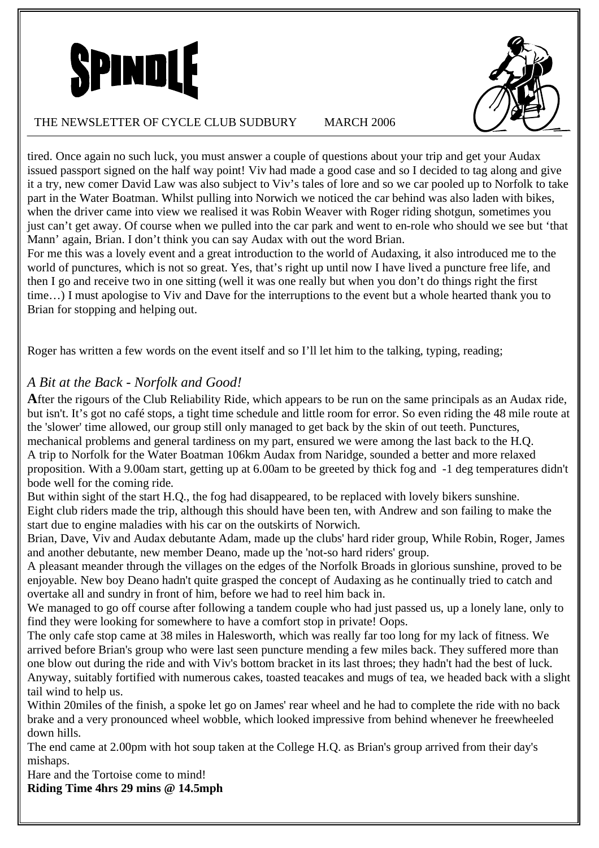



#### THE NEWSLETTER OF CYCLE CLUB SUDBURY MARCH 2006

tired. Once again no such luck, you must answer a couple of questions about your trip and get your Audax issued passport signed on the half way point! Viv had made a good case and so I decided to tag along and give it a try, new comer David Law was also subject to Viv's tales of lore and so we car pooled up to Norfolk to take part in the Water Boatman. Whilst pulling into Norwich we noticed the car behind was also laden with bikes, when the driver came into view we realised it was Robin Weaver with Roger riding shotgun, sometimes you just can't get away. Of course when we pulled into the car park and went to en-role who should we see but 'that Mann' again, Brian. I don't think you can say Audax with out the word Brian.

For me this was a lovely event and a great introduction to the world of Audaxing, it also introduced me to the world of punctures, which is not so great. Yes, that's right up until now I have lived a puncture free life, and then I go and receive two in one sitting (well it was one really but when you don't do things right the first time…) I must apologise to Viv and Dave for the interruptions to the event but a whole hearted thank you to Brian for stopping and helping out.

Roger has written a few words on the event itself and so I'll let him to the talking, typing, reading;

### *A Bit at the Back - Norfolk and Good!*

**A**fter the rigours of the Club Reliability Ride, which appears to be run on the same principals as an Audax ride, but isn't. It's got no café stops, a tight time schedule and little room for error. So even riding the 48 mile route at the 'slower' time allowed, our group still only managed to get back by the skin of out teeth. Punctures,

mechanical problems and general tardiness on my part, ensured we were among the last back to the H.Q. A trip to Norfolk for the Water Boatman 106km Audax from Naridge, sounded a better and more relaxed proposition. With a 9.00am start, getting up at 6.00am to be greeted by thick fog and -1 deg temperatures didn't bode well for the coming ride.

But within sight of the start H.Q., the fog had disappeared, to be replaced with lovely bikers sunshine. Eight club riders made the trip, although this should have been ten, with Andrew and son failing to make the start due to engine maladies with his car on the outskirts of Norwich.

Brian, Dave, Viv and Audax debutante Adam, made up the clubs' hard rider group, While Robin, Roger, James and another debutante, new member Deano, made up the 'not-so hard riders' group.

A pleasant meander through the villages on the edges of the Norfolk Broads in glorious sunshine, proved to be enjoyable. New boy Deano hadn't quite grasped the concept of Audaxing as he continually tried to catch and overtake all and sundry in front of him, before we had to reel him back in.

We managed to go off course after following a tandem couple who had just passed us, up a lonely lane, only to find they were looking for somewhere to have a comfort stop in private! Oops.

The only cafe stop came at 38 miles in Halesworth, which was really far too long for my lack of fitness. We arrived before Brian's group who were last seen puncture mending a few miles back. They suffered more than one blow out during the ride and with Viv's bottom bracket in its last throes; they hadn't had the best of luck. Anyway, suitably fortified with numerous cakes, toasted teacakes and mugs of tea, we headed back with a slight tail wind to help us.

Within 20miles of the finish, a spoke let go on James' rear wheel and he had to complete the ride with no back brake and a very pronounced wheel wobble, which looked impressive from behind whenever he freewheeled down hills.

The end came at 2.00pm with hot soup taken at the College H.Q. as Brian's group arrived from their day's mishaps.

Hare and the Tortoise come to mind!

**Riding Time 4hrs 29 mins @ 14.5mph**